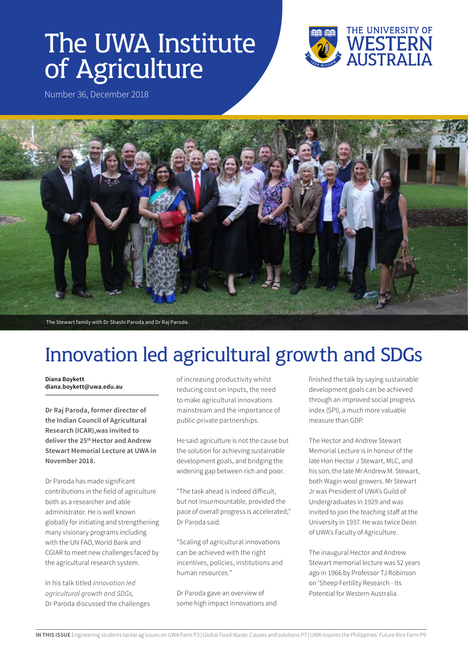# The UWA Institute of Agriculture



Number 36, December 2018



# Innovation led agricultural growth and SDGs

**Diana Boykett diana.boykett@uwa.edu.au**

**Dr Raj Paroda, former director of the Indian Council of Agricultural Research (ICAR),was invited to deliver the 25th Hector and Andrew Stewart Memorial Lecture at UWA in November 2018.**

Dr Paroda has made significant contributions in the field of agriculture both as a researcher and able administrator. He is well known globally for initiating and strengthening many visionary programs including with the UN FAO, World Bank and CGIAR to meet new challenges faced by the agricultural research system.

In his talk titled *Innovation led agricultural growth and SDGs,* Dr Paroda discussed the challenges of increasing productivity whilst reducing cost on inputs, the need to make agricultural innovations mainstream and the importance of public-private partnerships.

He said agriculture is not the cause but the solution for achieving sustainable development goals, and bridging the widening gap between rich and poor.

"The task ahead is indeed difficult, but not insurmountable, provided the pace of overall progress is accelerated," Dr Paroda said.

"Scaling of agricultural innovations can be achieved with the right incentives, policies, institutions and human resources."

Dr Paroda gave an overview of some high impact innovations and finished the talk by saying sustainable development goals can be achieved through an improved social progress index (SPI), a much more valuable measure than GDP.

The Hector and Andrew Stewart Memorial Lecture is in honour of the late Hon Hector J Stewart, MLC, and his son, the late Mr Andrew M. Stewart, both Wagin wool growers. Mr Stewart Jr was President of UWA's Guild of Undergraduates in 1929 and was invited to join the teaching staff at the University in 1937. He was twice Dean of UWA's Faculty of Agriculture.

The inaugural Hector and Andrew Stewart memorial lecture was 52 years ago in 1966 by Professor TJ Robinson on 'Sheep Fertility Research - Its Potential for Western Australia.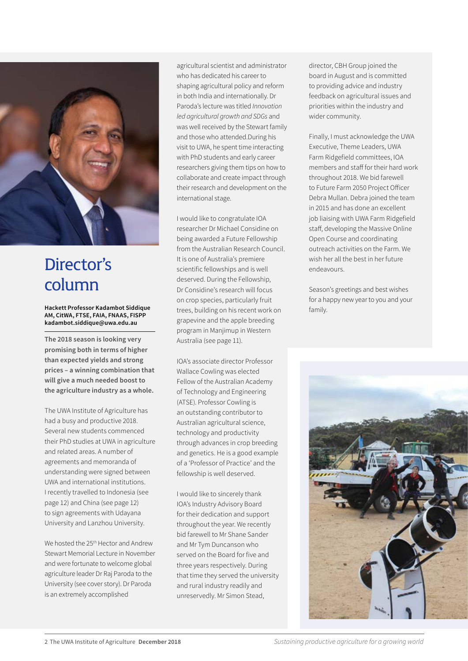

### Director's column

**Hackett Professor Kadambot Siddique AM, CitWA, FTSE, FAIA, FNAAS, FISPP kadambot.siddique@uwa.edu.au**

**The 2018 season is looking very promising both in terms of higher than expected yields and strong prices – a winning combination that will give a much needed boost to the agriculture industry as a whole.**

The UWA Institute of Agriculture has had a busy and productive 2018. Several new students commenced their PhD studies at UWA in agriculture and related areas. A number of agreements and memoranda of understanding were signed between UWA and international institutions. I recently travelled to Indonesia (see page 12) and China (see page 12) to sign agreements with Udayana University and Lanzhou University.

We hosted the 25<sup>th</sup> Hector and Andrew Stewart Memorial Lecture in November and were fortunate to welcome global agriculture leader Dr Raj Paroda to the University (see cover story). Dr Paroda is an extremely accomplished

agricultural scientist and administrator who has dedicated his career to shaping agricultural policy and reform in both India and internationally. Dr Paroda's lecture was titled *Innovation led agricultural growth and SDGs* and was well received by the Stewart family and those who attended.During his visit to UWA, he spent time interacting with PhD students and early career researchers giving them tips on how to collaborate and create impact through their research and development on the international stage.

I would like to congratulate IOA researcher Dr Michael Considine on being awarded a Future Fellowship from the Australian Research Council. It is one of Australia's premiere scientific fellowships and is well deserved. During the Fellowship, Dr Considine's research will focus on crop species, particularly fruit trees, building on his recent work on grapevine and the apple breeding program in Manjimup in Western Australia (see page 11).

IOA's associate director Professor Wallace Cowling was elected Fellow of the Australian Academy of Technology and Engineering (ATSE). Professor Cowling is an outstanding contributor to Australian agricultural science, technology and productivity through advances in crop breeding and genetics. He is a good example of a 'Professor of Practice' and the fellowship is well deserved.

I would like to sincerely thank IOA's Industry Advisory Board for their dedication and support throughout the year. We recently bid farewell to Mr Shane Sander and Mr Tym Duncanson who served on the Board for five and three years respectively. During that time they served the university and rural industry readily and unreservedly. Mr Simon Stead,

director, CBH Group joined the board in August and is committed to providing advice and industry feedback on agricultural issues and priorities within the industry and wider community.

Finally, I must acknowledge the UWA Executive, Theme Leaders, UWA Farm Ridgefield committees, IOA members and staff for their hard work throughout 2018. We bid farewell to Future Farm 2050 Project Officer Debra Mullan. Debra joined the team in 2015 and has done an excellent job liaising with UWA Farm Ridgefield staff, developing the Massive Online Open Course and coordinating outreach activities on the Farm. We wish her all the best in her future endeavours.

Season's greetings and best wishes for a happy new year to you and your family.

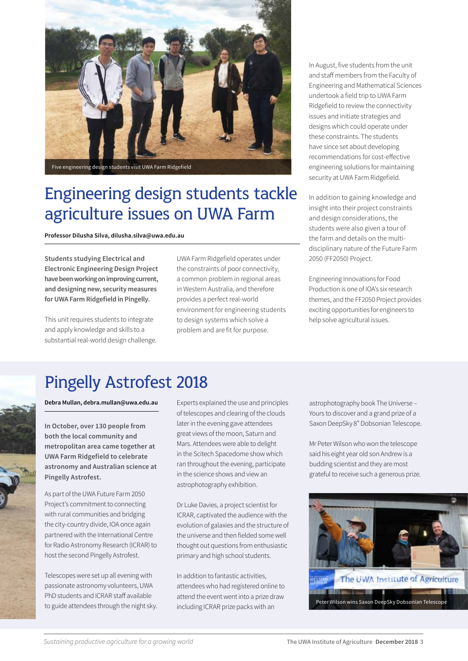

Five engineering design students visit UWA Farm Ridgefield

### Engineering design students tackle agriculture issues on UWA Farm

**Professor Dilusha Silva, dilusha.silva@uwa.edu.au**

**Students studying Electrical and Electronic Engineering Design Project have been working on improving current, and designing new, security measures for UWA Farm Ridgefield in Pingelly.** 

This unit requires students to integrate and apply knowledge and skills to a substantial real-world design challenge. UWA Farm Ridgefield operates under the constraints of poor connectivity, a common problem in regional areas in Western Australia, and therefore provides a perfect real-world environment for engineering students to design systems which solve a problem and are fit for purpose.

In August, five students from the unit and staff members from the Faculty of Engineering and Mathematical Sciences undertook a field trip to UWA Farm Ridgefield to review the connectivity issues and initiate strategies and designs which could operate under these constraints. The students have since set about developing recommendations for cost-effective engineering solutions for maintaining security at UWA Farm Ridgefield.

In addition to gaining knowledge and insight into their project constraints and design considerations, the students were also given a tour of the farm and details on the multidisciplinary nature of the Future Farm 2050 (FF2050) Project.

Engineering Innovations for Food Production is one of IOA's six research themes, and the FF2050 Project provides exciting opportunities for engineers to help solve agricultural issues.

### Pingelly Astrofest 2018

**Debra Mullan, debra.mullan@uwa.edu.au** 

**In October, over 130 people from both the local community and metropolitan area came together at UWA Farm Ridgefield to celebrate astronomy and Australian science at Pingelly Astrofest.**

As part of the UWA Future Farm 2050 Project's commitment to connecting with rural communities and bridging the city-country divide, IOA once again partnered with the International Centre for Radio Astronomy Research (ICRAR) to host the second Pingelly Astrofest.

Telescopes were set up all evening with passionate astronomy volunteers, UWA PhD students and ICRAR staff available to guide attendees through the night sky.

Experts explained the use and principles of telescopes and clearing of the clouds later in the evening gave attendees great views of the moon, Saturn and Mars. Attendees were able to delight in the Scitech Spacedome show which ran throughout the evening, participate in the science shows and view an astrophotography exhibition.

Dr Luke Davies, a project scientist for ICRAR, captivated the audience with the evolution of galaxies and the structure of the universe and then fielded some well thought out questions from enthusiastic primary and high school students.

In addition to fantastic activities, attendees who had registered online to attend the event went into a prize draw

astrophotography book The Universe – Yours to discover and a grand prize of a Saxon DeepSky 8" Dobsonian Telescope.

Mr Peter Wilson who won the telescope said his eight year old son Andrew is a budding scientist and they are most grateful to receive such a generous prize.

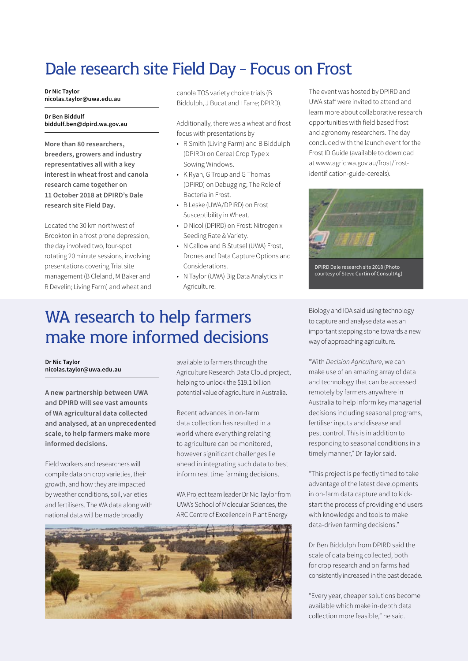### Dale research site Field Day - Focus on Frost

**Dr Nic Taylor nicolas.taylor@uwa.edu.au**

#### **Dr Ben Biddulf biddulf.ben@dpird.wa.gov.au**

**More than 80 researchers, breeders, growers and industry representatives all with a key interest in wheat frost and canola research came together on 11 October 2018 at DPIRD's Dale research site Field Day.**

Located the 30 km northwest of Brookton in a frost prone depression, the day involved two, four-spot rotating 20 minute sessions, involving presentations covering Trial site management (B Cleland, M Baker and R Develin; Living Farm) and wheat and canola TOS variety choice trials (B Biddulph, J Bucat and I Farre; DPIRD).

Additionally, there was a wheat and frost focus with presentations by

- R Smith (Living Farm) and B Biddulph (DPIRD) on Cereal Crop Type x Sowing Windows.
- K Ryan, G Troup and G Thomas (DPIRD) on Debugging; The Role of Bacteria in Frost.
- B Leske (UWA/DPIRD) on Frost Susceptibility in Wheat.
- D Nicol (DPIRD) on Frost: Nitrogen x Seeding Rate & Variety.
- N Callow and B Stutsel (UWA) Frost, Drones and Data Capture Options and Considerations.
- N Taylor (UWA) Big Data Analytics in Agriculture.

### WA research to help farmers make more informed decisions

**Dr Nic Taylor nicolas.taylor@uwa.edu.au**

**A new partnership between UWA and DPIRD will see vast amounts of WA agricultural data collected and analysed, at an unprecedented scale, to help farmers make more informed decisions.**

Field workers and researchers will compile data on crop varieties, their growth, and how they are impacted by weather conditions, soil, varieties and fertilisers. The WA data along with national data will be made broadly

available to farmers through the Agriculture Research Data Cloud project, helping to unlock the \$19.1 billion potential value of agriculture in Australia.

Recent advances in on-farm data collection has resulted in a world where everything relating to agriculture can be monitored, however significant challenges lie ahead in integrating such data to best inform real time farming decisions.

WA Project team leader Dr Nic Taylor from UWA's School of Molecular Sciences, the ARC Centre of Excellence in Plant Energy



The event was hosted by DPIRD and UWA staff were invited to attend and learn more about collaborative research opportunities with field based frost and agronomy researchers. The day concluded with the launch event for the Frost ID Guide (available to download at www.agric.wa.gov.au/frost/frostidentification-guide-cereals).



DPIRD Dale research site 2018 (Photo courtesy of Steve Curtin of ConsultAg)

Biology and IOA said using technology to capture and analyse data was an important stepping stone towards a new way of approaching agriculture.

"With *Decision Agriculture*, we can make use of an amazing array of data and technology that can be accessed remotely by farmers anywhere in Australia to help inform key managerial decisions including seasonal programs, fertiliser inputs and disease and pest control. This is in addition to responding to seasonal conditions in a timely manner," Dr Taylor said.

"This project is perfectly timed to take advantage of the latest developments in on-farm data capture and to kickstart the process of providing end users with knowledge and tools to make data-driven farming decisions."

Dr Ben Biddulph from DPIRD said the scale of data being collected, both for crop research and on farms had consistently increased in the past decade.

"Every year, cheaper solutions become available which make in-depth data collection more feasible," he said.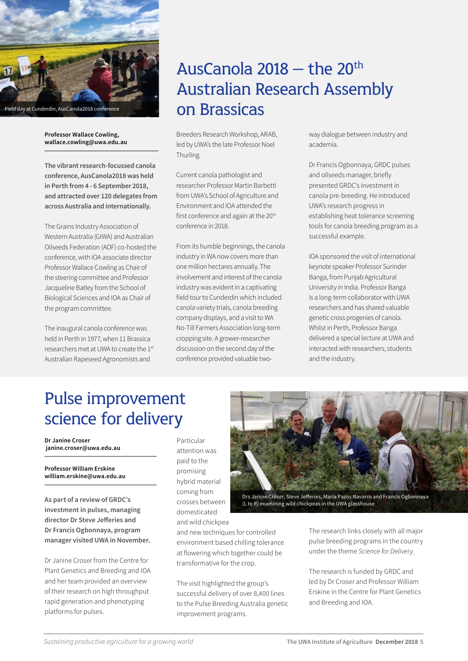

#### **Professor Wallace Cowling, wallace.cowling@uwa.edu.au**

**The vibrant research-focussed canola conference, AusCanola2018 was held in Perth from 4 - 6 September 2018, and attracted over 120 delegates from across Australia and internationally.**

The Grains Industry Association of Western Australia (GIWA) and Australian Oilseeds Federation (AOF) co-hosted the conference, with IOA associate director Professor Wallace Cowling as Chair of the steering committee and Professor Jacqueline Batley from the School of Biological Sciences and IOA as Chair of the program committee.

The inaugural canola conference was held in Perth in 1977, when 11 Brassica researchers met at UWA to create the 1st Australian Rapeseed Agronomists and

### AusCanola  $2018 -$  the  $20<sup>th</sup>$ Australian Research Assembly on Brassicas

Breeders Research Workshop, ARAB, led by UWA's the late Professor Noel Thurling.

Current canola pathologist and researcher Professor Martin Barbetti from UWA's School of Agriculture and Environment and IOA attended the first conference and again at the 20<sup>th</sup> conference in 2018.

From its humble beginnings, the canola industry in WA now covers more than one million hectares annually. The involvement and interest of the canola industry was evident in a captivating field tour to Cunderdin which included canola variety trials, canola breeding company displays, and a visit to WA No-Till Farmers Association long-term cropping site. A grower-researcher discussion on the second day of the conference provided valuable twoway dialogue between industry and academia.

Dr Francis Ogbonnaya, GRDC pulses and oilseeds manager, briefly presented GRDC's investment in canola pre-breeding. He introduced UWA's research progress in establishing heat tolerance screening tools for canola breeding program as a successful example.

IOA sponsored the visit of international keynote speaker Professor Surinder Banga, from Punjab Agricultural University in India. Professor Banga is a long-term collaborator with UWA researchers and has shared valuable genetic cross progenies of canola. Whilst in Perth, Professor Banga delivered a special lecture at UWA and interacted with researchers, students and the industry.

### Pulse improvement science for delivery

**Dr Janine Croser janine.croser@uwa.edu.au**

**Professor William Erskine william.erskine@uwa.edu.au**

**As part of a review of GRDC's investment in pulses, managing director Dr Steve Jefferies and Dr Francis Ogbonnaya, program manager visited UWA in November.**

Dr Janine Croser from the Centre for Plant Genetics and Breeding and IOA and her team provided an overview of their research on high throughput rapid generation and phenotyping platforms for pulses.

Particular attention was paid to the promising hybrid material coming from crosses between domesticated and wild chickpea



Drs Janine Croser, Steve Jefferies, Maria Pazos Navarro and Francis Ogbonnaya (L to R) examining wild chickpeas in the UWA glasshouse

and new techniques for controlled environment based chilling tolerance at flowering which together could be transformative for the crop.

The visit highlighted the group's successful delivery of over 8,400 lines to the Pulse Breeding Australia genetic improvement programs.

The research links closely with all major pulse breeding programs in the country under the theme *Science for Delivery*.

The research is funded by GRDC and led by Dr Croser and Professor William Erskine in the Centre for Plant Genetics and Breeding and IOA.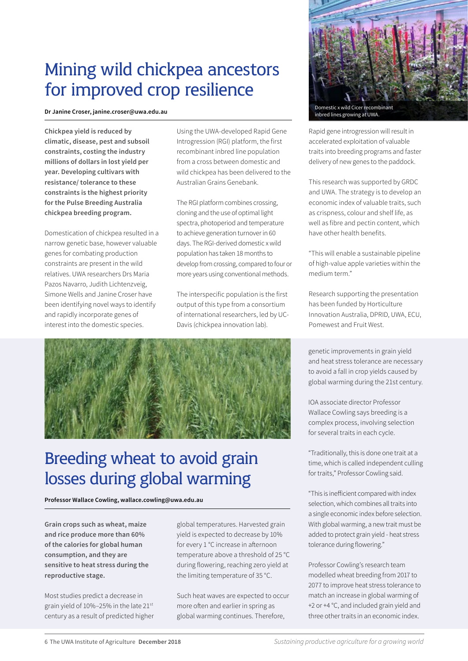### Mining wild chickpea ancestors for improved crop resilience

**Dr Janine Croser, [janine.croser@uwa.edu.au](mailto:Janine.croser@uwa.edu.au)** 

**Chickpea yield is reduced by climatic, disease, pest and subsoil constraints, costing the industry millions of dollars in lost yield per year. Developing cultivars with resistance/ tolerance to these constraints is the highest priority for the Pulse Breeding Australia chickpea breeding program.**

Domestication of chickpea resulted in a narrow genetic base, however valuable genes for combating production constraints are present in the wild relatives. UWA researchers Drs Maria Pazos Navarro, Judith Lichtenzveig, Simone Wells and Janine Croser have been identifying novel ways to identify and rapidly incorporate genes of interest into the domestic species.

Using the UWA-developed Rapid Gene Introgression (RGI) platform, the first recombinant inbred line population from a cross between domestic and wild chickpea has been delivered to the Australian Grains Genebank.

The RGI platform combines crossing, cloning and the use of optimal light spectra, photoperiod and temperature to achieve generation turnover in 60 days. The RGI-derived domestic x wild population has taken 18 months to develop from crossing, compared to four or more years using conventional methods.

The interspecific population is the first output of this type from a consortium of international researchers, led by UC-Davis (chickpea innovation lab).



### Breeding wheat to avoid grain losses during global warming

**Professor Wallace Cowling, wallace.cowling@uwa.edu.au**

**Grain crops such as wheat, maize and rice produce more than 60% of the calories for global human consumption, and they are sensitive to heat stress during the reproductive stage.**

Most studies predict a decrease in grain yield of 10%–25% in the late 21st century as a result of predicted higher

global temperatures. Harvested grain yield is expected to decrease by 10% for every 1 °C increase in afternoon temperature above a threshold of 25 °C during flowering, reaching zero yield at the limiting temperature of 35 °C.

Such heat waves are expected to occur more often and earlier in spring as global warming continues. Therefore,



Rapid gene introgression will result in accelerated exploitation of valuable traits into breeding programs and faster delivery of new genes to the paddock.

This research was supported by GRDC and UWA. The strategy is to develop an economic index of valuable traits, such as crispness, colour and shelf life, as well as fibre and pectin content, which have other health benefits.

"This will enable a sustainable pipeline of high-value apple varieties within the medium term."

Research supporting the presentation has been funded by Horticulture Innovation Australia, DPRID, UWA, ECU, Pomewest and Fruit West.

genetic improvements in grain yield and heat stress tolerance are necessary to avoid a fall in crop yields caused by global warming during the 21st century.

IOA associate director Professor Wallace Cowling says breeding is a complex process, involving selection for several traits in each cycle.

"Traditionally, this is done one trait at a time, which is called independent culling for traits," Professor Cowling said.

"This is inefficient compared with index selection, which combines all traits into a single economic index before selection. With global warming, a new trait must be added to protect grain yield - heat stress tolerance during flowering."

Professor Cowling's research team modelled wheat breeding from 2017 to 2077 to improve heat stress tolerance to match an increase in global warming of +2 or +4 °C, and included grain yield and three other traits in an economic index.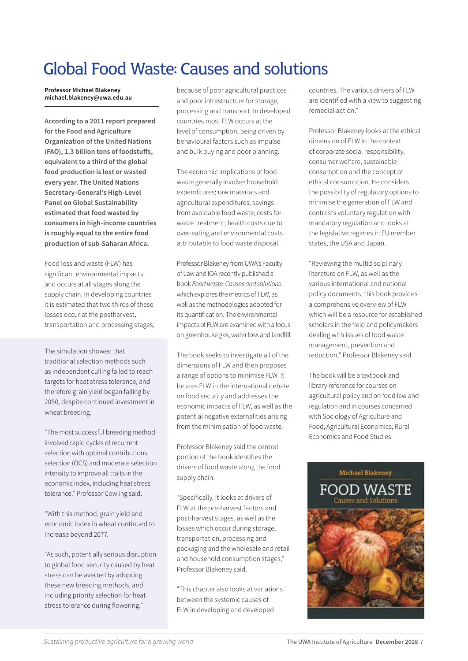### Global Food Waste: Causes and solutions

**Professor Michael Blakeney michael.blakeney@uwa.edu.au** 

**According to a 2011 report prepared for the Food and Agriculture Organization of the United Nations (FAO), 1.3 billion tons of foodstuffs, equivalent to a third of the global food production is lost or wasted every year. The United Nations Secretary-General's High-Level Panel on Global Sustainability estimated that food wasted by consumers in high-income countries is roughly equal to the entire food production of sub-Saharan Africa.**

Food loss and waste (FLW) has significant environmental impacts and occurs at all stages along the supply chain. In developing countries it is estimated that two thirds of these losses occur at the postharvest, transportation and processing stages,

The simulation showed that traditional selection methods such as independent culling failed to reach targets for heat stress tolerance, and therefore grain yield began falling by 2050, despite continued investment in wheat breeding.

"The most successful breeding method involved rapid cycles of recurrent selection with optimal contributions selection (OCS) and moderate selection intensity to improve all traits in the economic index, including heat stress tolerance," Professor Cowling said.

"With this method, grain yield and economic index in wheat continued to increase beyond 2077.

"As such, potentially serious disruption to global food security caused by heat stress can be averted by adopting these new breeding methods, and including priority selection for heat stress tolerance during flowering."

because of poor agricultural practices and poor infrastructure for storage, processing and transport. In developed countries most FLW occurs at the level of consumption, being driven by behavioural factors such as impulse and bulk buying and poor planning.

The economic implications of food waste generally involve: household expenditures; raw materials and agricultural expenditures; savings from avoidable food waste; costs for waste treatment; health costs due to over-eating and environmental costs attributable to food waste disposal.

Professor Blakeney from UWA's Faculty of Law and IOA recently published a book *Food waste. Causes and solutions* which explores the metrics of FLW, as well as the methodologies adopted for its quantification. The environmental impacts of FLW are examined with a focus on greenhouse gas, water loss and landfill.

The book seeks to investigate all of the dimensions of FLW and then proposes a range of options to minimise FLW. It locates FLW in the international debate on food security and addresses the economic impacts of FLW, as well as the potential negative externalities arising from the minimisation of food waste.

Professor Blakeney said the central portion of the book identifies the drivers of food waste along the food supply chain.

"Specifically, it looks at drivers of FLW at the pre-harvest factors and post-harvest stages, as well as the losses which occur during storage, transportation, processing and packaging and the wholesale and retail and household consumption stages," Professor Blakeney said.

"This chapter also looks at variations between the systemic causes of FLW in developing and developed

countries. The various drivers of FLW are identified with a view to suggesting remedial action."

Professor Blakeney looks at the ethical dimension of FLW in the context of corporate social responsibility, consumer welfare, sustainable consumption and the concept of ethical consumption. He considers the possibility of regulatory options to minimise the generation of FLW and contrasts voluntary regulation with mandatory regulation and looks at the legislative regimes in EU member states, the USA and Japan.

"Reviewing the multidisciplinary literature on FLW, as well as the various international and national policy documents, this book provides a comprehensive overview of FLW which will be a resource for established scholars in the field and policymakers dealing with issues of food waste management, prevention and reduction," Professor Blakeney said.

The book will be a textbook and library reference for courses on agricultural policy and on food law and regulation and in courses concerned with Sociology of Agriculture and Food; Agricultural Economics; Rural Economics and Food Studies.

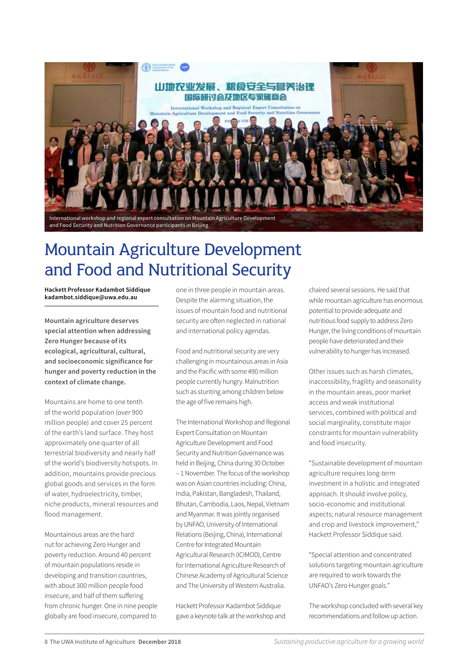

### Mountain Agriculture Development and Food and Nutritional Security

**Hackett Professor Kadambot Siddique kadambot.siddique@uwa.edu.au**

**Mountain agriculture deserves special attention when addressing Zero Hunger because of its ecological, agricultural, cultural, and socioeconomic significance for hunger and poverty reduction in the context of climate change.**

Mountains are home to one tenth of the world population (over 900 million people) and cover 25 percent of the earth's land surface. They host approximately one quarter of all terrestrial biodiversity and nearly half of the world's biodiversity hotspots. In addition, mountains provide precious global goods and services in the form of water, hydroelectricity, timber, niche products, mineral resources and flood management.

Mountainous areas are the hard nut for achieving Zero Hunger and poverty reduction. Around 40 percent of mountain populations reside in developing and transition countries, with about 300 million people food insecure, and half of them suffering from chronic hunger. One in nine people globally are food insecure, compared to

one in three people in mountain areas. Despite the alarming situation, the issues of mountain food and nutritional security are often neglected in national and international policy agendas.

Food and nutritional security are very challenging in mountainous areas in Asia and the Pacific with some 490 million people currently hungry. Malnutrition such as stunting among children below the age of five remains high.

The International Workshop and Regional Expert Consultation on Mountain Agriculture Development and Food Security and Nutrition Governance was held in Beijing, China during 30 October – 1 November. The focus of the workshop was on Asian countries including: China, India, Pakistan, Bangladesh, Thailand, Bhutan, Cambodia, Laos, Nepal, Vietnam and Myanmar. It was jointly organised by UNFAO, University of International Relations (Beijing, China), International Centre for Integrated Mountain Agricultural Research (ICIMOD), Centre for International Agriculture Research of Chinese Academy of Agricultural Science and The University of Western Australia.

Hackett Professor Kadambot Siddique gave a keynote talk at the workshop and chaired several sessions. He said that while mountain agriculture has enormous potential to provide adequate and nutritious food supply to address Zero Hunger, the living conditions of mountain people have deteriorated and their vulnerability to hunger has increased.

Other issues such as harsh climates, inaccessibility, fragility and seasonality in the mountain areas, poor market access and weak institutional services, combined with political and social marginality, constitute major constraints for mountain vulnerability and food insecurity.

"Sustainable development of mountain agriculture requires long-term investment in a holistic and integrated approach. It should involve policy, socio-economic and institutional aspects; natural resource management and crop and livestock improvement," Hackett Professor Siddique said.

"Special attention and concentrated solutions targeting mountain agriculture are required to work towards the UNFAO's Zero Hunger goals."

The workshop concluded with several key recommendations and follow up action.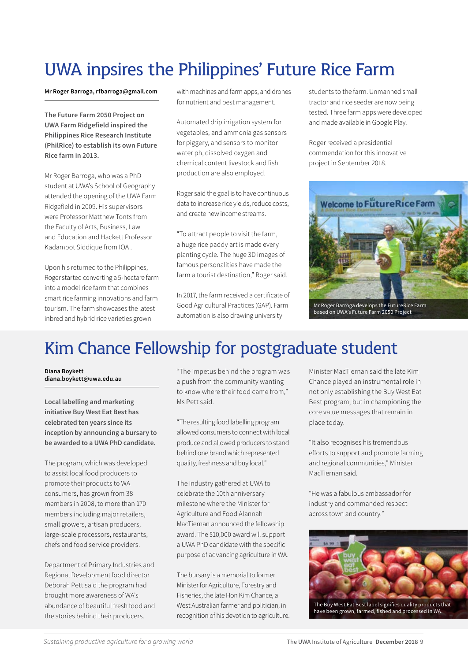## UWA inpsires the Philippines' Future Rice Farm

**Mr Roger Barroga, rfbarroga@gmail.com**

**The Future Farm 2050 Project on UWA Farm Ridgefield inspired the Philippines Rice Research Institute (PhilRice) to establish its own Future Rice farm in 2013.** 

Mr Roger Barroga, who was a PhD student at UWA's School of Geography attended the opening of the UWA Farm Ridgefield in 2009. His supervisors were Professor Matthew Tonts from the Faculty of Arts, Business, Law and Education and Hackett Professor Kadambot Siddique from IOA .

Upon his returned to the Philippines, Roger started converting a 5-hectare farm into a model rice farm that combines smart rice farming innovations and farm tourism. The farm showcases the latest inbred and hybrid rice varieties grown

with machines and farm apps, and drones for nutrient and pest management.

Automated drip irrigation system for vegetables, and ammonia gas sensors for piggery, and sensors to monitor water ph, dissolved oxygen and chemical content livestock and fish production are also employed.

Roger said the goal is to have continuous data to increase rice yields, reduce costs, and create new income streams.

"To attract people to visit the farm, a huge rice paddy art is made every planting cycle. The huge 3D images of famous personalities have made the farm a tourist destination," Roger said.

In 2017, the farm received a certificate of Good Agricultural Practices (GAP). Farm automation is also drawing university

students to the farm. Unmanned small tractor and rice seeder are now being tested. Three farm apps were developed and made available in Google Play.

Roger received a presidential commendation for this innovative project in September 2018.



Mr Roger Barroga develops the FutureRice Farm based on UWA's Future Farm 2050 Project

### Kim Chance Fellowship for postgraduate student

**Diana Boykett diana.boykett@uwa.edu.au**

**Local labelling and marketing initiative Buy West Eat Best has celebrated ten years since its inception by announcing a bursary to be awarded to a UWA PhD candidate.** 

The program, which was developed to assist local food producers to promote their products to WA consumers, has grown from 38 members in 2008, to more than 170 members including major retailers, small growers, artisan producers, large-scale processors, restaurants, chefs and food service providers.

Department of Primary Industries and Regional Development food director Deborah Pett said the program had brought more awareness of WA's abundance of beautiful fresh food and the stories behind their producers.

"The impetus behind the program was a push from the community wanting to know where their food came from," Ms Pett said.

"The resulting food labelling program allowed consumers to connect with local produce and allowed producers to stand behind one brand which represented quality, freshness and buy local."

The industry gathered at UWA to celebrate the 10th anniversary milestone where the Minister for Agriculture and Food Alannah MacTiernan announced the fellowship award. The \$10,000 award will support a UWA PhD candidate with the specific purpose of advancing agriculture in WA.

The bursary is a memorial to former Minister for Agriculture, Forestry and Fisheries, the late Hon Kim Chance, a West Australian farmer and politician, in recognition of his devotion to agriculture. Minister MacTiernan said the late Kim Chance played an instrumental role in not only establishing the Buy West Eat Best program, but in championing the core value messages that remain in place today.

"It also recognises his tremendous efforts to support and promote farming and regional communities," Minister MacTiernan said.

"He was a fabulous ambassador for industry and commanded respect across town and country."



The Buy West Eat Best label signifies quality products that have been grown, farmed, fished and processed in WA.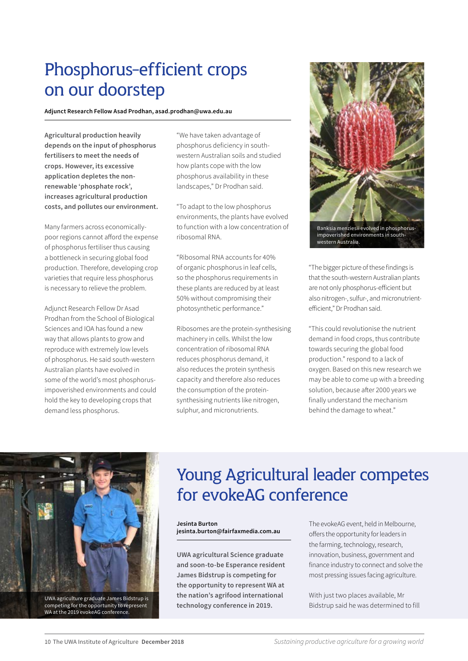### Phosphorus-efficient crops on our doorstep

**Adjunct Research Fellow Asad Prodhan, asad.prodhan@uwa.edu.au** 

**Agricultural production heavily depends on the input of phosphorus fertilisers to meet the needs of crops. However, its excessive application depletes the nonrenewable 'phosphate rock', increases agricultural production costs, and pollutes our environment.**

Many farmers across economicallypoor regions cannot afford the expense of phosphorus fertiliser thus causing a bottleneck in securing global food production. Therefore, developing crop varieties that require less phosphorus is necessary to relieve the problem.

Adjunct Research Fellow Dr Asad Prodhan from the School of Biological Sciences and IOA has found a new way that allows plants to grow and reproduce with extremely low levels of phosphorus. He said south-western Australian plants have evolved in some of the world's most phosphorusimpoverished environments and could hold the key to developing crops that demand less phosphorus.

"We have taken advantage of phosphorus deficiency in southwestern Australian soils and studied how plants cope with the low phosphorus availability in these landscapes," Dr Prodhan said.

"To adapt to the low phosphorus environments, the plants have evolved to function with a low concentration of ribosomal RNA.

"Ribosomal RNA accounts for 40% of organic phosphorus in leaf cells, so the phosphorus requirements in these plants are reduced by at least 50% without compromising their photosynthetic performance."

Ribosomes are the protein-synthesising machinery in cells. Whilst the low concentration of ribosomal RNA reduces phosphorus demand, it also reduces the protein synthesis capacity and therefore also reduces the consumption of the proteinsynthesising nutrients like nitrogen, sulphur, and micronutrients.



western Australia.

"The bigger picture of these findings is that the south-western Australian plants are not only phosphorus-efficient but also nitrogen-, sulfur-, and micronutrientefficient," Dr Prodhan said.

"This could revolutionise the nutrient demand in food crops, thus contribute towards securing the global food production." respond to a lack of oxygen. Based on this new research we may be able to come up with a breeding solution, because after 2000 years we finally understand the mechanism behind the damage to wheat."



competing for the opportunity to represent WA at the 2019 evokeAG conference.

### Young Agricultural leader competes for evokeAG conference

**Jesinta Burton jesinta.burton@fairfaxmedia.com.au**

**UWA agricultural Science graduate and soon-to-be Esperance resident James Bidstrup is competing for the opportunity to represent WA at the nation's agrifood international technology conference in 2019.**

The evokeAG event, held in Melbourne, offers the opportunity for leaders in the farming, technology, research, innovation, business, government and finance industry to connect and solve the most pressing issues facing agriculture.

With just two places available, Mr Bidstrup said he was determined to fill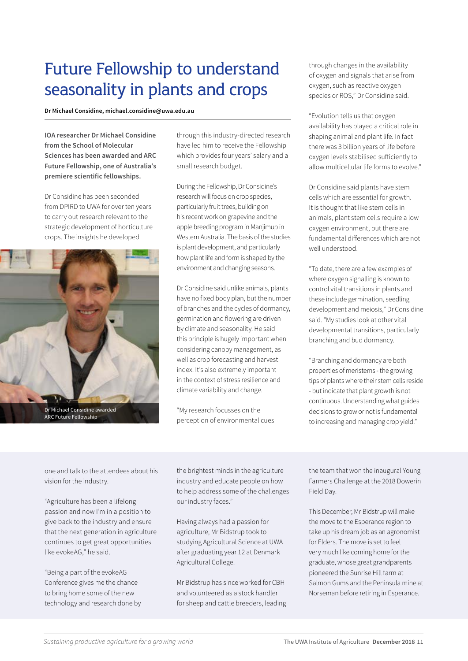### Future Fellowship to understand seasonality in plants and crops

**Dr Michael Considine, michael.considine@uwa.edu.au**

**IOA researcher Dr Michael Considine from the School of Molecular Sciences has been awarded and ARC Future Fellowship, one of Australia's premiere scientific fellowships.**

Dr Considine has been seconded from DPIRD to UWA for over ten years to carry out research relevant to the strategic development of horticulture crops. The insights he developed



through this industry-directed research have led him to receive the Fellowship which provides four years' salary and a small research budget.

During the Fellowship, Dr Considine's research will focus on crop species, particularly fruit trees, building on his recent work on grapevine and the apple breeding program in Manjimup in Western Australia. The basis of the studies is plant development, and particularly how plant life and form is shaped by the environment and changing seasons.

Dr Considine said unlike animals, plants have no fixed body plan, but the number of branches and the cycles of dormancy, germination and flowering are driven by climate and seasonality. He said this principle is hugely important when considering canopy management, as well as crop forecasting and harvest index. It's also extremely important in the context of stress resilience and climate variability and change.

"My research focusses on the perception of environmental cues through changes in the availability of oxygen and signals that arise from oxygen, such as reactive oxygen species or ROS," Dr Considine said.

"Evolution tells us that oxygen availability has played a critical role in shaping animal and plant life. In fact there was 3 billion years of life before oxygen levels stabilised sufficiently to allow multicellular life forms to evolve."

Dr Considine said plants have stem cells which are essential for growth. It is thought that like stem cells in animals, plant stem cells require a low oxygen environment, but there are fundamental differences which are not well understood.

"To date, there are a few examples of where oxygen signalling is known to control vital transitions in plants and these include germination, seedling development and meiosis," Dr Considine said. "My studies look at other vital developmental transitions, particularly branching and bud dormancy.

"Branching and dormancy are both properties of meristems - the growing tips of plants where their stem cells reside - but indicate that plant growth is not continuous. Understanding what guides decisions to grow or not is fundamental to increasing and managing crop yield."

one and talk to the attendees about his vision for the industry.

"Agriculture has been a lifelong passion and now I'm in a position to give back to the industry and ensure that the next generation in agriculture continues to get great opportunities like evokeAG," he said.

"Being a part of the evokeAG Conference gives me the chance to bring home some of the new technology and research done by the brightest minds in the agriculture industry and educate people on how to help address some of the challenges our industry faces."

Having always had a passion for agriculture, Mr Bidstrup took to studying Agricultural Science at UWA after graduating year 12 at Denmark Agricultural College.

Mr Bidstrup has since worked for CBH and volunteered as a stock handler for sheep and cattle breeders, leading the team that won the inaugural Young Farmers Challenge at the 2018 Dowerin Field Day.

This December, Mr Bidstrup will make the move to the Esperance region to take up his dream job as an agronomist for Elders. The move is set to feel very much like coming home for the graduate, whose great grandparents pioneered the Sunrise Hill farm at Salmon Gums and the Peninsula mine at Norseman before retiring in Esperance.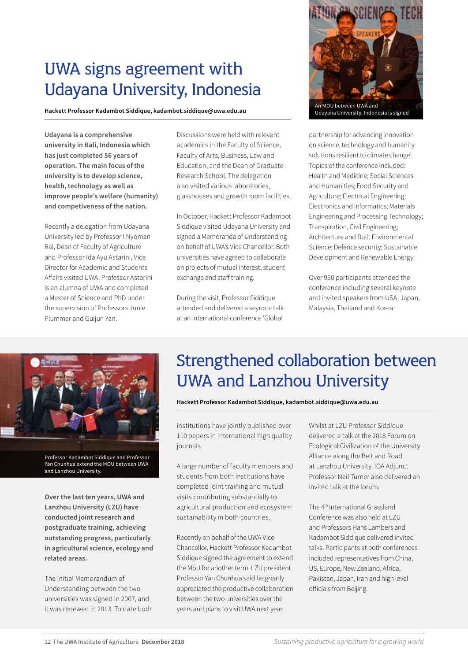### UWA signs agreement with Udayana University, Indonesia

**Hackett Professor Kadambot Siddique, kadambot.siddique@uwa.edu.au**

**Udayana is a comprehensive university in Bali, Indonesia which has just completed 56 years of operation. The main focus of the university is to develop science, health, technology as well as improve people's welfare (humanity) and competiveness of the nation.**

Recently a delegation from Udayana University led by Professor I Nyoman Rai, Dean of Faculty of Agriculture and Professor Ida Ayu Astarini, Vice Director for Academic and Students Affairs visited UWA. Professor Astarini is an alumna of UWA and completed a Master of Science and PhD under the supervision of Professors Junie Plummer and Guijun Yan.

Discussions were held with relevant academics in the Faculty of Science, Faculty of Arts, Business, Law and Education, and the Dean of Graduate Research School. The delegation also visited various laboratories, glasshouses and growth room facilities.

In October, Hackett Professor Kadambot Siddique visited Udayana University and signed a Memoranda of Understanding on behalf of UWA's Vice Chancellor. Both universities have agreed to collaborate on projects of mutual interest, student exchange and staff training.

During the visit, Professor Siddique attended and delivered a keynote talk at an international conference 'Global



partnership for advancing innovation on science, technology and humanity solutions resilient to climate change'. Topics of the conference included: Health and Medicine; Social Sciences and Humanities; Food Security and Agriculture; Electrical Engineering; Electronics and Informatics; Materials Engineering and Processing Technology; Transpiration, Civil Engineering; Architecture and Built Environmental Science; Defence security; Sustainable Development and Renewable Energy.

Over 950 participants attended the conference including several keynote and invited speakers from USA, Japan, Malaysia, Thailand and Korea.



Professor Kadambot Siddique and Professor Yan Chunhua extend the MOU between UWA and Lanzhou University.

**Over the last ten years, UWA and Lanzhou University (LZU) have conducted joint research and postgraduate training, achieving outstanding progress, particularly in agricultural science, ecology and related areas.** 

The initial Memorandum of Understanding between the two universities was signed in 2007, and it was renewed in 2013. To date both

### Strengthened collaboration between UWA and Lanzhou University

**Hackett Professor Kadambot Siddique, kadambot.siddique@uwa.edu.au**

institutions have jointly published over 110 papers in international high quality journals.

A large number of faculty members and students from both institutions have completed joint training and mutual visits contributing substantially to agricultural production and ecosystem sustainability in both countries.

Recently on behalf of the UWA Vice Chancellor, Hackett Professor Kadambot Siddique signed the agreement to extend the MoU for another term. LZU president Professor Yan Chunhua said he greatly appreciated the productive collaboration between the two universities over the years and plans to visit UWA next year.

Whilst at LZU Professor Siddique delivered a talk at the 2018 Forum on Ecological Civilization of the University Alliance along the Belt and Road at Lanzhou University. IOA Adjunct Professor Neil Turner also delivered an invited talk at the forum.

The 4th International Grassland Conference was also held at LZU and Professors Hans Lambers and Kadambot Siddique delivered invited talks. Participants at both conferences included representatives from China, US, Europe, New Zealand, Africa, Pakistan, Japan, Iran and high level officials from Beijing.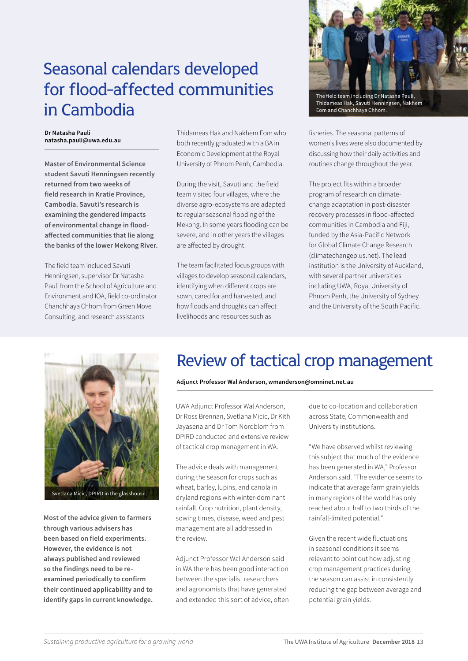### Seasonal calendars developed for flood-affected communities in Cambodia

#### **Dr Natasha Pauli natasha.pauli@uwa.edu.au**

**Master of Environmental Science student Savuti Henningsen recently returned from two weeks of field research in Kratie Province, Cambodia. Savuti's research is examining the gendered impacts of environmental change in floodaffected communities that lie along the banks of the lower Mekong River.** 

The field team included Savuti Henningsen, supervisor Dr Natasha Pauli from the School of Agriculture and Environment and IOA, field co-ordinator Chanchhaya Chhom from Green Move Consulting, and research assistants

Thidameas Hak and Nakhem Eom who both recently graduated with a BA in Economic Development at the Royal University of Phnom Penh, Cambodia.

During the visit, Savuti and the field team visited four villages, where the diverse agro-ecosystems are adapted to regular seasonal flooding of the Mekong. In some years flooding can be severe, and in other years the villages are affected by drought.

The team facilitated focus groups with villages to develop seasonal calendars, identifying when different crops are sown, cared for and harvested, and how floods and droughts can affect livelihoods and resources such as



Thidameas Hak, Savuti Henningsen, Nakhem Eom and Chanchhaya Chhom.

fisheries. The seasonal patterns of women's lives were also documented by discussing how their daily activities and routines change throughout the year.

The project fits within a broader program of research on climatechange adaptation in post-disaster recovery processes in flood-affected communities in Cambodia and Fiji, funded by the Asia-Pacific Network for Global Climate Change Research [\(climatechangeplus.net](http://climatechangeplus.net/)). The lead institution is the University of Auckland, with several partner universities including UWA, Royal University of Phnom Penh, the University of Sydney and the University of the South Pacific.



Svetlana Micic, DPIRD in the glasshouse.

**Most of the advice given to farmers through various advisers has been based on field experiments. However, the evidence is not always published and reviewed so the findings need to be reexamined periodically to confirm their continued applicability and to identify gaps in current knowledge.** 

### Review of tactical crop management

#### **Adjunct Professor Wal Anderson, wmanderson@omninet.net.au**

UWA Adjunct Professor Wal Anderson, Dr Ross Brennan, Svetlana Micic, Dr Kith Jayasena and Dr Tom Nordblom from DPIRD conducted and extensive review of tactical crop management in WA.

The advice deals with management during the season for crops such as wheat, barley, lupins, and canola in dryland regions with winter-dominant rainfall. Crop nutrition, plant density, sowing times, disease, weed and pest management are all addressed in the review.

Adjunct Professor Wal Anderson said in WA there has been good interaction between the specialist researchers and agronomists that have generated and extended this sort of advice, often due to co-location and collaboration across State, Commonwealth and University institutions.

"We have observed whilst reviewing this subject that much of the evidence has been generated in WA," Professor Anderson said. "The evidence seems to indicate that average farm grain yields in many regions of the world has only reached about half to two thirds of the rainfall-limited potential."

Given the recent wide fluctuations in seasonal conditions it seems relevant to point out how adjusting crop management practices during the season can assist in consistently reducing the gap between average and potential grain yields.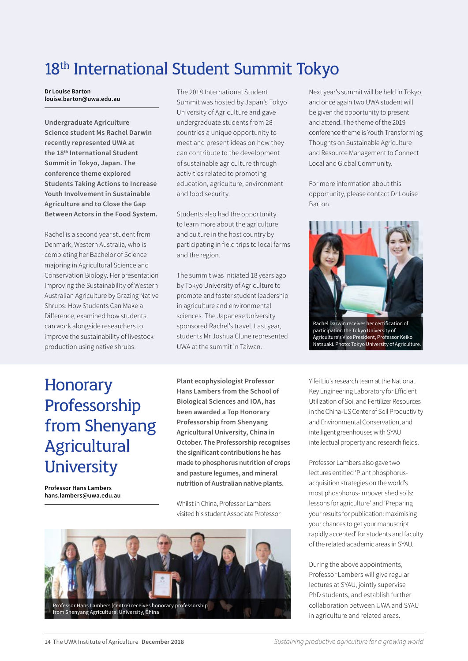### 18<sup>th</sup> International Student Summit Tokyo

**Dr Louise Barton louise.barton@uwa.edu.au**

**Undergraduate Agriculture Science student Ms Rachel Darwin recently represented UWA at the 18th International Student Summit in Tokyo, Japan. The conference theme explored Students Taking Actions to Increase Youth Involvement in Sustainable Agriculture and to Close the Gap Between Actors in the Food System.**

Rachel is a second year student from Denmark, Western Australia, who is completing her Bachelor of Science majoring in Agricultural Science and Conservation Biology. Her presentation Improving the Sustainability of Western Australian Agriculture by Grazing Native Shrubs: How Students Can Make a Difference, examined how students can work alongside researchers to improve the sustainability of livestock production using native shrubs.

The 2018 International Student Summit was hosted by Japan's Tokyo University of Agriculture and gave undergraduate students from 28 countries a unique opportunity to meet and present ideas on how they can contribute to the development of sustainable agriculture through activities related to promoting education, agriculture, environment and food security.

Students also had the opportunity to learn more about the agriculture and culture in the host country by participating in field trips to local farms and the region.

The summit was initiated 18 years ago by Tokyo University of Agriculture to promote and foster student leadership in agriculture and environmental sciences. The Japanese University sponsored Rachel's travel. Last year, students Mr Joshua Clune represented UWA at the summit in Taiwan.

Next year's summit will be held in Tokyo, and once again two UWA student will be given the opportunity to present and attend. The theme of the 2019 conference theme is Youth Transforming Thoughts on Sustainable Agriculture and Resource Management to Connect Local and Global Community.

For more information about this opportunity, please contact Dr Louise Barton.



### **Honorary** Professorship from Shenyang Agricultural **University**

**Professor Hans Lambers hans.lambers@uwa.edu.au** **Plant ecophysiologist Professor Hans Lambers from the School of Biological Sciences and IOA, has been awarded a Top Honorary Professorship from Shenyang Agricultural University, China in October. The Professorship recognises the significant contributions he has made to phosphorus nutrition of crops and pasture legumes, and mineral nutrition of Australian native plants.**

Whilst in China, Professor Lambers visited his student Associate Professor



Yifei Liu's research team at the National Key Engineering Laboratory for Efficient Utilization of Soil and Fertilizer Resources in the China-US Center of Soil Productivity and Environmental Conservation, and intelligent greenhouses with SYAU intellectual property and research fields.

Professor Lambers also gave two lectures entitled 'Plant phosphorusacquisition strategies on the world's most phosphorus-impoverished soils: lessons for agriculture' and 'Preparing your results for publication: maximising your chances to get your manuscript rapidly accepted' for students and faculty of the related academic areas in SYAU.

During the above appointments, Professor Lambers will give regular lectures at SYAU, jointly supervise PhD students, and establish further collaboration between UWA and SYAU in agriculture and related areas.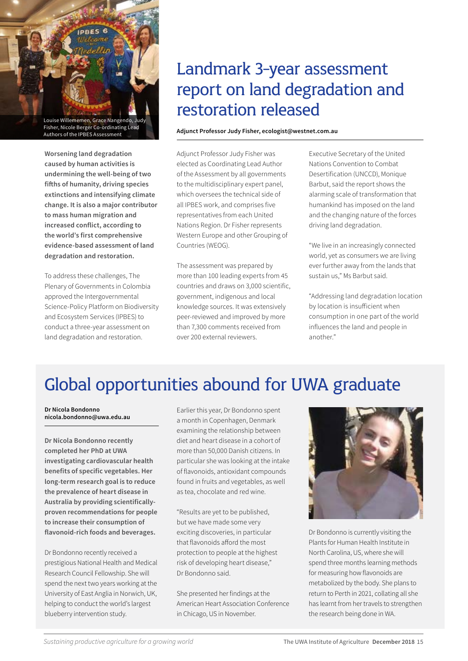Louise Willememen, Grace Nangendo, Judy Fisher, Nicole Berger Co-ordinating Lead Authors of the IPBES Assessment

**Worsening land degradation caused by human activities is undermining the well-being of two fifths of humanity, driving species extinctions and intensifying climate change. It is also a major contributor to mass human migration and increased conflict, according to the world's first comprehensive evidence-based assessment of land degradation and restoration.** 

To address these challenges, The Plenary of Governments in Colombia approved the Intergovernmental Science-Policy Platform on Biodiversity and Ecosystem Services (IPBES) to conduct a three-year assessment on land degradation and restoration.

### Landmark 3-year assessment report on land degradation and restoration released

#### **Adjunct Professor Judy Fisher, ecologist@westnet.com.au**

Adjunct Professor Judy Fisher was elected as Coordinating Lead Author of the Assessment by all governments to the multidisciplinary expert panel, which oversees the technical side of all IPBES work, and comprises five representatives from each United Nations Region. Dr Fisher represents Western Europe and other Grouping of Countries (WEOG).

The assessment was prepared by more than 100 leading experts from 45 countries and draws on 3,000 scientific, government, indigenous and local knowledge sources. It was extensively peer-reviewed and improved by more than 7,300 comments received from over 200 external reviewers.

Executive Secretary of the United Nations Convention to Combat Desertification (UNCCD), Monique Barbut, said the report shows the alarming scale of transformation that humankind has imposed on the land and the changing nature of the forces driving land degradation.

"We live in an increasingly connected world, yet as consumers we are living ever further away from the lands that sustain us," Ms Barbut said.

"Addressing land degradation location by location is insufficient when consumption in one part of the world influences the land and people in another."

# Global opportunities abound for UWA graduate

**Dr Nicola Bondonno nicola.bondonno@uwa.edu.au**

**Dr Nicola Bondonno recently completed her PhD at UWA investigating cardiovascular health benefits of specific vegetables. Her long-term research goal is to reduce the prevalence of heart disease in Australia by providing scientificallyproven recommendations for people to increase their consumption of flavonoid-rich foods and beverages.**

Dr Bondonno recently received a prestigious National Health and Medical Research Council Fellowship. She will spend the next two years working at the University of East Anglia in Norwich, UK, helping to conduct the world's largest blueberry intervention study.

Earlier this year, Dr Bondonno spent a month in Copenhagen, Denmark examining the relationship between diet and heart disease in a cohort of more than 50,000 Danish citizens. In particular she was looking at the intake of flavonoids, antioxidant compounds found in fruits and vegetables, as well as tea, chocolate and red wine.

"Results are yet to be published, but we have made some very exciting discoveries, in particular that flavonoids afford the most protection to people at the highest risk of developing heart disease," Dr Bondonno said.

She presented her findings at the American Heart Association Conference in Chicago, US in November.



Dr Bondonno is currently visiting the Plants for Human Health Institute in North Carolina, US, where she will spend three months learning methods for measuring how flavonoids are metabolized by the body. She plans to return to Perth in 2021, collating all she has learnt from her travels to strengthen the research being done in WA.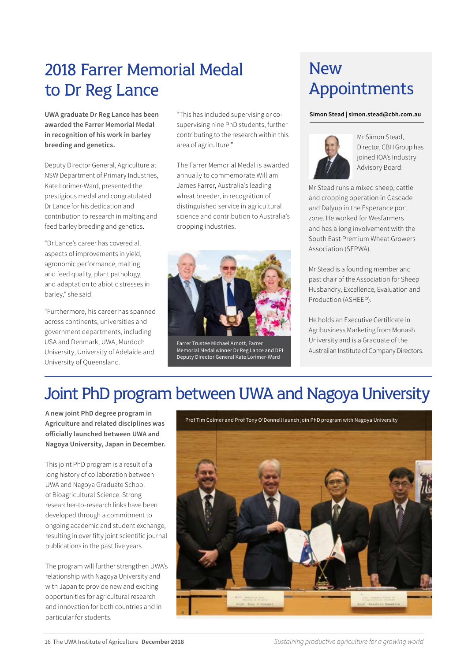### 2018 Farrer Memorial Medal to Dr Reg Lance

**UWA graduate Dr Reg Lance has been awarded the Farrer Memorial Medal in recognition of his work in barley breeding and genetics.**

Deputy Director General, Agriculture at NSW Department of Primary Industries, Kate Lorimer-Ward, presented the prestigious medal and congratulated Dr Lance for his dedication and contribution to research in malting and feed barley breeding and genetics.

"Dr Lance's career has covered all aspects of improvements in yield, agronomic performance, malting and feed quality, plant pathology, and adaptation to abiotic stresses in barley," she said.

"Furthermore, his career has spanned across continents, universities and government departments, including USA and Denmark, UWA, Murdoch University, University of Adelaide and University of Queensland.

"This has included supervising or cosupervising nine PhD students, further contributing to the research within this area of agriculture."

The Farrer Memorial Medal is awarded annually to commemorate William James Farrer, Australia's leading wheat breeder, in recognition of distinguished service in agricultural science and contribution to Australia's cropping industries.



Farrer Trustee Michael Arnott, Farrer Memorial Medal winner Dr Reg Lance and DPI Deputy Director General Kate Lorimer-Ward

### **New** Appointments

#### **Simon Stead | simon.stead@cbh.com.au**



Mr Simon Stead, Director, CBH Group has joined IOA's Industry Advisory Board.

Mr Stead runs a mixed sheep, cattle and cropping operation in Cascade and Dalyup in the Esperance port zone. He worked for Wesfarmers and has a long involvement with the South East Premium Wheat Growers Association (SEPWA).

Mr Stead is a founding member and past chair of the Association for Sheep Husbandry, Excellence, Evaluation and Production (ASHEEP).

He holds an Executive Certificate in Agribusiness Marketing from Monash University and is a Graduate of the Australian Institute of Company Directors.

### Joint PhD program between UWA and Nagoya University

**A new joint PhD degree program in Agriculture and related disciplines was officially launched between UWA and Nagoya University, Japan in December.** 

This joint PhD program is a result of a long history of collaboration between UWA and Nagoya Graduate School of Bioagricultural Science. Strong researcher-to-research links have been developed through a commitment to ongoing academic and student exchange, resulting in over fifty joint scientific journal publications in the past five years.

The program will further strengthen UWA's relationship with Nagoya University and with Japan to provide new and exciting opportunities for agricultural research and innovation for both countries and in particular for students.

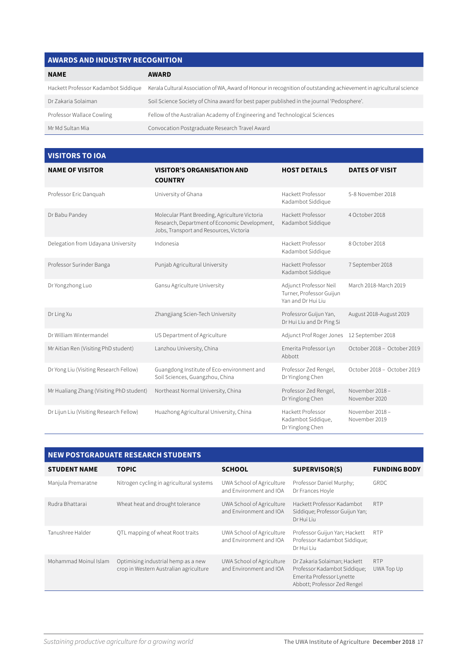### **AWARDS AND INDUSTRY RECOGNITION**

| <b>NAME</b>                         | <b>AWARD</b>                                                                                                         |
|-------------------------------------|----------------------------------------------------------------------------------------------------------------------|
| Hackett Professor Kadambot Siddique | Kerala Cultural Association of WA, Award of Honour in recognition of outstanding achievement in agricultural science |
| Dr Zakaria Solaiman                 | Soil Science Society of China award for best paper published in the journal 'Pedosphere'.                            |
| Professor Wallace Cowling           | Fellow of the Australian Academy of Engineering and Technological Sciences                                           |
| Mr Md Sultan Mia                    | Convocation Postgraduate Research Travel Award                                                                       |

### **VISITORS TO IOA**

| <b>NAME OF VISITOR</b>                   | <b>VISITOR'S ORGANISATION AND</b><br><b>COUNTRY</b>                                                                                        | <b>HOST DETAILS</b>                                                      | <b>DATES OF VISIT</b>            |
|------------------------------------------|--------------------------------------------------------------------------------------------------------------------------------------------|--------------------------------------------------------------------------|----------------------------------|
| Professor Eric Danquah                   | University of Ghana                                                                                                                        | Hackett Professor<br>Kadambot Siddique                                   | 5-8 November 2018                |
| Dr Babu Pandey                           | Molecular Plant Breeding, Agriculture Victoria<br>Research, Department of Economic Development,<br>Jobs, Transport and Resources, Victoria | Hackett Professor<br>Kadambot Siddique                                   | 4 October 2018                   |
| Delegation from Udayana University       | Indonesia                                                                                                                                  | Hackett Professor<br>Kadambot Siddique                                   | 8 October 2018                   |
| Professor Surinder Banga                 | Punjab Agricultural University                                                                                                             | Hackett Professor<br>Kadambot Siddique                                   | 7 September 2018                 |
| Dr Yongzhong Luo                         | Gansu Agriculture University                                                                                                               | Adjunct Professor Neil<br>Turner, Professor Guijun<br>Yan and Dr Hui Liu | March 2018-March 2019            |
| Dr Ling Xu                               | Zhangjiang Scien-Tech University                                                                                                           | Professror Guijun Yan,<br>Dr Hui Liu and Dr Ping Si                      | August 2018-August 2019          |
| Dr William Wintermandel                  | US Department of Agriculture                                                                                                               | Adjunct Prof Roger Jones                                                 | 12 September 2018                |
| Mr Aitian Ren (Visiting PhD student)     | Lanzhou University, China                                                                                                                  | Emerita Professor Lyn<br>Abbott                                          | October 2018 - October 2019      |
| Dr Yong Liu (Visiting Research Fellow)   | Guangdong Institute of Eco-environment and<br>Soil Sciences, Guangzhou, China                                                              | Professor Zed Rengel,<br>Dr Yinglong Chen                                | October 2018 - October 2019      |
| Mr Hualiang Zhang (Visiting PhD student) | Northeast Normal University, China                                                                                                         | Professor Zed Rengel,<br>Dr Yinglong Chen                                | November 2018 -<br>November 2020 |
| Dr Lijun Liu (Visiting Research Fellow)  | Huazhong Agricultural University, China                                                                                                    | Hackett Professor<br>Kadambot Siddique,<br>Dr Yinglong Chen              | November 2018 -<br>November 2019 |

| <b>NEW POSTGRADUATE RESEARCH STUDENTS</b> |                                                                               |                                                      |                                                                                                                           |                          |  |  |  |
|-------------------------------------------|-------------------------------------------------------------------------------|------------------------------------------------------|---------------------------------------------------------------------------------------------------------------------------|--------------------------|--|--|--|
| <b>STUDENT NAME</b>                       | <b>TOPIC</b>                                                                  | <b>SCHOOL</b>                                        | SUPERVISOR(S)                                                                                                             | <b>FUNDING BODY</b>      |  |  |  |
| Manjula Premaratne                        | Nitrogen cycling in agricultural systems                                      | UWA School of Agriculture<br>and Environment and IOA | Professor Daniel Murphy;<br>Dr Frances Hoyle                                                                              | GRDC                     |  |  |  |
| Rudra Bhattarai                           | Wheat heat and drought tolerance                                              | UWA School of Agriculture<br>and Environment and IOA | Hackett Professor Kadambot<br>Siddique; Professor Guijun Yan;<br>Dr Hui Liu                                               | <b>RTP</b>               |  |  |  |
| Tanushree Halder                          | QTL mapping of wheat Root traits                                              | UWA School of Agriculture<br>and Environment and IOA | Professor Guijun Yan; Hackett<br>Professor Kadambot Siddique;<br>Dr Hui Liu                                               | <b>RTP</b>               |  |  |  |
| Mohammad Moinul Islam                     | Optimising industrial hemp as a new<br>crop in Western Australian agriculture | UWA School of Agriculture<br>and Environment and IOA | Dr Zakaria Solaiman; Hackett<br>Professor Kadambot Siddique;<br>Emerita Professor Lynette<br>Abbott; Professor Zed Rengel | <b>RTP</b><br>UWA Top Up |  |  |  |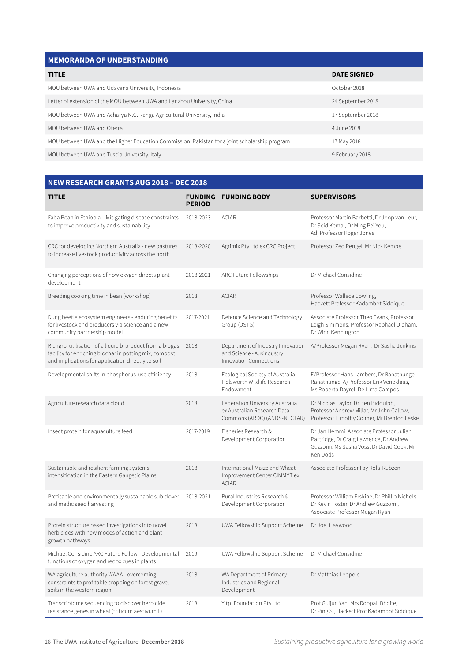#### **MEMORANDA OF UNDERSTANDING**

| <b>TITLE</b>                                                                                  | <b>DATE SIGNED</b> |  |  |  |  |
|-----------------------------------------------------------------------------------------------|--------------------|--|--|--|--|
| MOU between UWA and Udayana University, Indonesia                                             | October 2018       |  |  |  |  |
| Letter of extension of the MOU between UWA and Lanzhou University, China                      | 24 September 2018  |  |  |  |  |
| MOU between UWA and Acharya N.G. Ranga Agricultural University, India                         | 17 September 2018  |  |  |  |  |
| MOU between UWA and Oterra                                                                    | 4.June 2018        |  |  |  |  |
| MOU between UWA and the Higher Education Commission, Pakistan for a joint scholarship program | 17 May 2018        |  |  |  |  |
| MOU between UWA and Tuscia University, Italy                                                  | 9 February 2018    |  |  |  |  |

#### **NEW RESEARCH GRANTS AUG 2018 – DEC 2018 TITLE FUNDING FUNDING BODY SUPERVISORS PERIOD** Faba Bean in Ethiopia – Mitigating disease constraints to improve productivity and sustainability 2018-2023 ACIAR Professor Martin Barbetti, Dr Joop van Leur, Dr Seid Kemal, Dr Ming Pei You, Adj Professor Roger Jones CRC for developing Northern Australia - new pastures to increase livestock productivity across the north 2018-2020 Agrimix Pty Ltd ex CRC Project Professor Zed Rengel, Mr Nick Kempe Changing perceptions of how oxygen directs plant development 2018-2021 ARC Future Fellowships Dr Michael Considine Breeding cooking time in bean (workshop) 2018 ACIAR Professor Wallace Cowling, Hackett Professor Kadambot Siddique Dung beetle ecosystem engineers - enduring benefits for livestock and producers via science and a new community partnership model 2017-2021 Defence Science and Technology Group (DSTG) Associate Professor Theo Evans, Professor Leigh Simmons, Professor Raphael Didham, Dr Winn Kennington Richgro: utilisation of a liquid b-product from a biogas facility for enriching biochar in potting mix, compost, and implications for application directly to soil 2018 Department of Industry Innovation and Science - Ausindustry: Innovation Connections A/Professor Megan Ryan, Dr Sasha Jenkins Developmental shifts in phosphorus-use efficiency 2018 Ecological Society of Australia Holsworth Wildlife Research Endowment E/Professor Hans Lambers, Dr Ranathunge Ranathunge, A/Professor Erik Veneklaas, Ms Roberta Dayrell De Lima Campos Agriculture research data cloud 2018 Federation University Australia ex Australian Research Data Commons (ARDC) (ANDS-NECTAR) Dr Nicolas Taylor, Dr Ben Biddulph, Professor Andrew Millar, Mr John Callow, Professor Timothy Colmer, Mr Brenton Leske Insect protein for aquaculture feed 2017-2019 Fisheries Research & Development Corporation Dr Jan Hemmi, Associate Professor Julian Partridge, Dr Craig Lawrence, Dr Andrew Guzzomi, Ms Sasha Voss, Dr David Cook, Mr Ken Dods Sustainable and resilient farming systems intensification in the Eastern Gangetic Plains 2018 International Maize and Wheat Improvement Center CIMMYT ex ACIAR Associate Professor Fay Rola-Rubzen Profitable and environmentally sustainable sub clover and medic seed harvesting 2018-2021 Rural Industries Research & Development Corporation Professor William Erskine, Dr Phillip Nichols, Dr Kevin Foster, Dr Andrew Guzzomi, Asoociate Professor Megan Ryan Protein structure based investigations into novel herbicides with new modes of action and plant growth pathways 2018 UWA Fellowship Support Scheme Dr Joel Haywood Michael Considine ARC Future Fellow - Developmental functions of oxygen and redox cues in plants 2019 UWA Fellowship Support Scheme Dr Michael Considine WA agriculture authority WAAA - overcoming constraints to profitable cropping on forest gravel soils in the western region 2018 WA Department of Primary Industries and Regional Development Dr Matthias Leopold Transcriptome sequencing to discover herbicide 2018 Yitpi Foundation Pty Ltd Prof Guijun Yan, Mrs Roopali Bhoite,

resistance genes in wheat (triticum aestivum l.)

Dr Ping Si, Hackett Prof Kadambot Siddique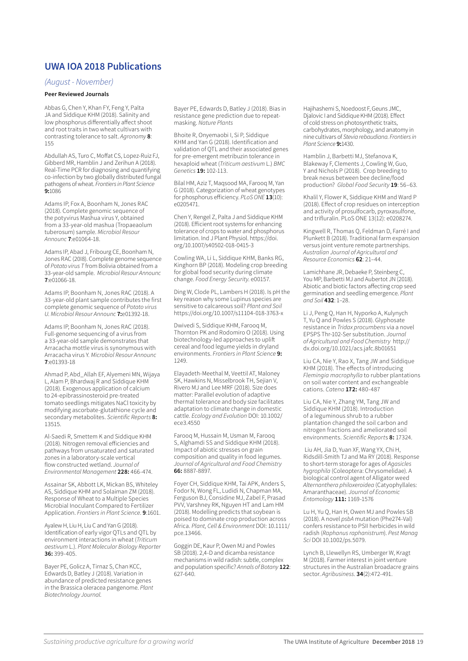### **UWA IOA 2018 Publications**

#### *(August - November)*

#### **Peer Reviewed Journals**

Abbas G, Chen Y, Khan FY, Feng Y, Palta JA and Siddique KHM (2018). Salinity and low phosphorus differentially affect shoot and root traits in two wheat cultivars with contrasting tolerance to salt. *Agronomy* **8**: 155

Abdullah AS, Turo C, Moffat CS, Lopez-Ruiz FJ, Gibberd MR, Hamblin J and Zerihun A (2018). Real-Time PCR for diagnosing and quantifying co-infection by two globally distributed fungal pathogens of wheat. *Frontiers in Plant Science* **9:**1086

Adams IP, Fox A, Boonham N, Jones RAC (2018). Complete genomic sequence of the potyvirus Mashua virus Y, obtained from a 33-year-old mashua (Tropaeaolum tuberosum) sample. *Microbiol Resour Announc* **7**:e01064-18.

Adams IP, Abad J, Fribourg CE, Boonham N, Jones RAC (20I8). Complete genome sequence of *Potato virus T* from Bolivia obtained from a 33-year-old sample. *Microbiol Resour Announc* **7**:e01066-18.

Adams IP, Boonham N, Jones RAC (2018). A 33-year-old plant sample contributes the first complete genomic sequence of *Potato virus U*. *Microbiol Resour Announc* **7:**e01392-18.

Adams IP, Boonham N, Jones RAC (2018). Full-genome sequencing of a virus from a 33-year-old sample demonstrates that Arracacha mottle virus is synonymous with Arracacha virus Y*. Microbiol Resour Announc* **7**:e01393-18

Ahmad P, Abd\_Allah EF, Alyemeni MN, Wijaya L, Alam P, Bhardwaj R and Siddique KHM (2018). Exogenous application of calcium to 24-epibrassinosteroid pre-treated tomato seedlings mitigates NaCl toxicity by modifying ascorbate-glutathione cycle and secondary metabolites. Scientific Reports **8:** 13515.

Al-Saedi R, Smettem K and Siddique KHM (2018). Nitrogen removal efficiencies and pathways from unsaturated and saturated zones in a laboratory-scale vertical flow constructed wetland. *Journal of Environmental Management* **228:** 466-474.

Assainar SK, Abbott LK, Mickan BS, Whiteley AS, Siddique KHM and Solaiman ZM (2018). Response of Wheat to a Multiple Species Microbial Inoculant Compared to Fertilizer Application. *Frontiers in Plant Science*. **9**:1601.

Ayalew H, Liu H, Liu C and Yan G (2018). Identification of early vigor QTLs and QTL by environment interactions in wheat (*Triticum aestivum* L.). *Plant Molecular Biology Reporter* **36:** 399-405.

Bayer PE, Golicz A, Tirnaz S, Chan KCC, Edwards D, Batley J (2018). Variation in abundance of predicted resistance genes in the Brassica oleracea pangenome. *Plant Biotechnology Journal*.

Bayer PE, Edwards D, Batley J (2018). Bias in resistance gene prediction due to repeatmasking. *Nature Plants*

Bhoite R, Onyemaobi I, Si P, Siddique KHM and Yan G (2018). Identification and validation of QTL and their associated genes for pre-emergent metribuzin tolerance in hexaploid wheat (*Triticum aestivum* L.) *BMC Genetics* **19:** 102-113.

Bilal HM, Aziz T, Maqsood MA, Farooq M, Yan G (2018). Categorization of wheat genotypes for phosphorus efficiency. *PLoS ONE* **13**(10): e0205471.

Chen Y, Rengel Z, Palta J and Siddique KHM (2018). Efficient root systems for enhancing tolerance of crops to water and phosphorus limitation. Ind J Plant Physiol. https://doi. org/10.1007/s40502-018-0415-3

Cowling WA, Li L, Siddique KHM, Banks RG, Kinghorn BP (2018). Modeling crop breeding for global food security during climate change. *Food Energy Security*. e00157.

Ding W, Clode PL, Lambers H (2018). Is pH the key reason why some Lupinus species are sensitive to calcareous soil? *Plant and Soil*  https://doi.org/10.1007/s11104-018-3763-x

Dwivedi S, Siddique KHM, Farooq M, Thornton PK and Rodomiro O (2018). Using biotechnology-led approaches to uplift cereal and food legume yields in dryland environments. *Frontiers in Plant Science* **9:**  1249.

Elayadeth-Meethal M, Veettil AT, Maloney SK, Hawkins N, Misselbrook TH, Sejian V, Rivero MJ and Lee MRF (2018). Size does matter: Parallel evolution of adaptive thermal tolerance and body size facilitates adaptation to climate change in domestic cattle. *Ecology and Evolution* DOI: 10.1002/ ece3.4550

Farooq M, Hussain M, Usman M, Farooq S, Alghamdi SS and Siddique KHM (2018). Impact of abiotic stresses on grain composition and quality in food legumes. *Journal of Agricultural and Food Chemistry* **66:** 8887-8897.

Foyer CH, Siddique KHM, Tai APK, Anders S, Fodor N, Wong FL, Ludidi N, Chapman MA, Ferguson BJ, Considine MJ, Zabel F, Prasad PVV, Varshney RK, Nguyen HT and Lam HM (2018). Modelling predicts that soybean is poised to dominate crop production across Africa. *Plant, Cell & Environment* DOI: 10.1111/ pce.13466.

Goggin DE, Kaur P, Owen MJ and Powles SB (2018). 2,4-D and dicamba resistance mechanisms in wild radish: subtle, complex and population specific? *Annals of Botany* **122**: 627-640.

Hajihashemi S, Noedoost F, Geuns JMC, Djalovic I and Siddique KHM (2018). Effect of cold stress on photosynthetic traits, carbohydrates, morphology, and anatomy in nine cultivars of *Stevia rebaudiana*. *Frontiers in Plant Science* **9:**1430.

Hamblin J, Barbetti MJ, Stefanova K, Blakeway F, Clements J, Cowling W, Guo, Y and Nichols P (2018). Crop breeding to break nexus between bee decline/food production? *Global Food Security* **19**: 56–63.

Khalil Y, Flower K, Siddique KHM and Ward P (2018). Effect of crop residues on interception and activity of prosulfocarb, pyroxasulfone, and trifluralin. PLoS ONE 13(12): e0208274.

Kingwell R, Thomas Q, Feldman D, Farré I and Plunkett B (2018). Traditional farm expansion versus joint venture remote partnerships. *Australian Journal of Agricultural and Resource Economics* **62**: 21–44.

Lamichhane JR, Debaeke P, Steinberg C, You MP, Barbetti MJ and Aubertot JN (2018). Abiotic and biotic factors affecting crop seed germination and seedling emergence. *Plant and Soil* **432**: 1–28.

Li J, Peng Q, Han H, Nyporko A, Kulynych T, Yu Q and Powles S (2018). Glyphosate resistance in *Tridax procumbens* via a novel EPSPS Thr-102-Ser substitution. *Journal of Agricultural and Food Chemistry* http:// dx.doi.org/10.1021/acs.jafc.8b01651

Liu CA, Nie Y, Rao X, Tang JW and Siddique KHM (2018). The effects of introducing *Flemingia macrophylla* to rubber plantations on soil water content and exchangeable cations. *Catena* **172:** 480-487

Liu CA, Nie Y, Zhang YM, Tang JW and Siddique KHM (2018). Introduction of a leguminous shrub to a rubber plantation changed the soil carbon and nitrogen fractions and ameliorated soil environments. Scientific Reports **8:** 17324.

 Liu AH, Jia D, Yuan XF, Wang YX, Chi H, Ridsdill-Smith TJ and Ma RY (2018). Response to short-term storage for ages of *Agasicles hygrophila* (Coleoptera: Chrysomelidae). A biological control agent of Alligator weed *Alternanthera philoxeroidea* (Catyophyllales: Amaranthaceae). *Journal of Economic Entomology* **111:** 1169-1576

Lu H, Yu Q, Han H, Owen MJ and Powles SB (2018). A novel *psbA* mutation (Phe274-Val) confers resistance to PSII herbicides in wild radish (*Raphanus raphanistrum*). *Pest Manag Sci* DOI 10.1002/ps.5079.

Lynch B, Llewellyn RS, Umberger W, Kragt M (2018). Farmer interest in joint venture structures in the Australian broadacre grains sector. *Agribusiness*. **34**(2):472-491.